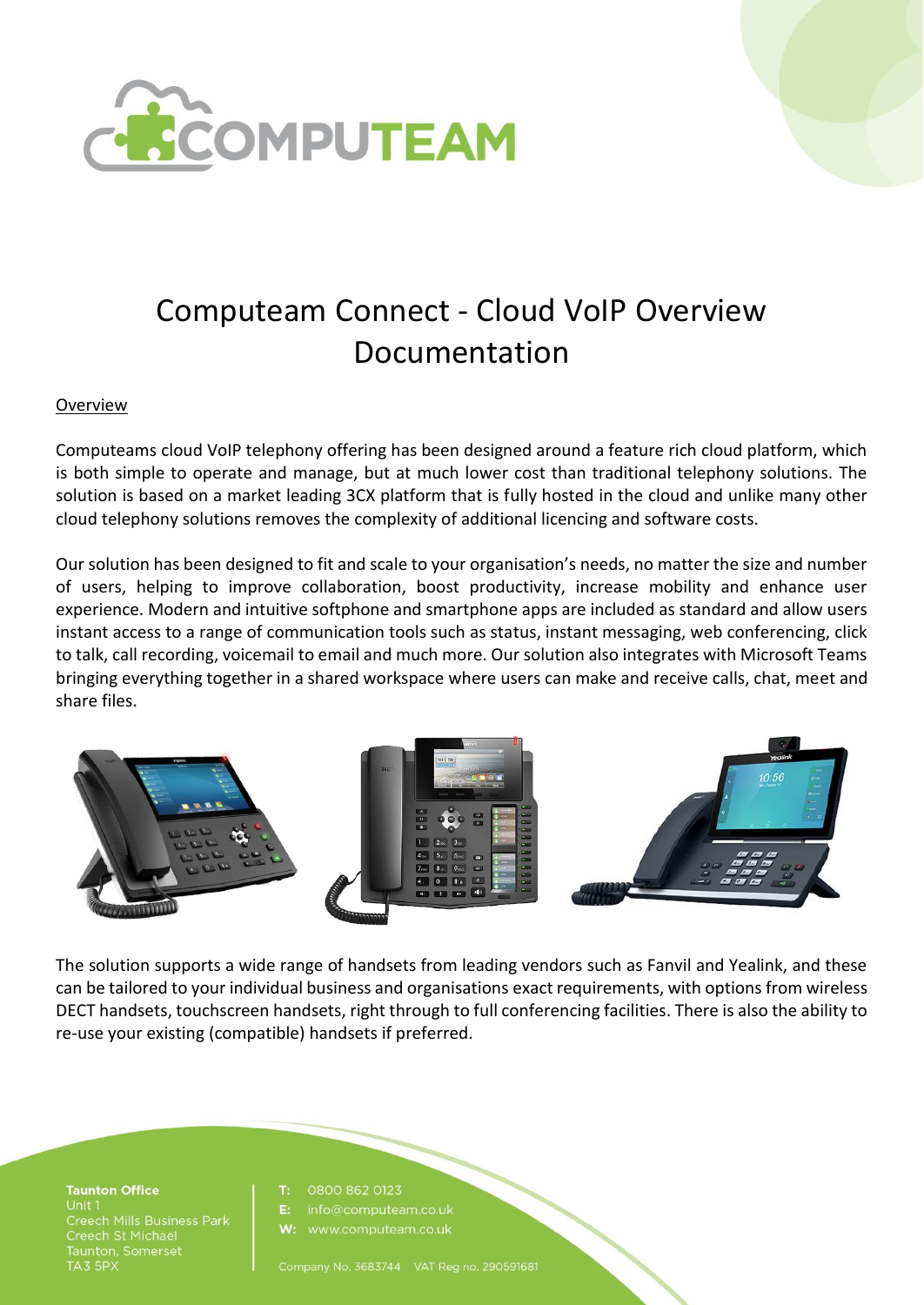

# Computeam Connect - Cloud VoIP Overview Documentation

#### Overview

Computeams cloud VoIP telephony offering has been designed around a feature rich cloud platform, which is both simple to operate and manage, but at much lower cost than traditional telephony solutions. The solution is based on a market leading 3CX platform that is fully hosted in the cloud and unlike many other cloud telephony solutions removes the complexity of additional licencing and software costs.

Our solution has been designed to fit and scale to your organisation's needs, no matter the size and number of users, helping to improve collaboration, boost productivity, increase mobility and enhance user experience. Modern and intuitive softphone and smartphone apps are included as standard and allow users instant access to a range of communication tools such as status, instant messaging, web conferencing, click to talk, call recording, voicemail to email and much more. Our solution also integrates with Microsoft Teams bringing everything together in a shared workspace where users can make and receive calls, chat, meet and share files.





The solution supports a wide range of handsets from leading vendors such as Fanvil and Yealink, and these can be tailored to your individual business and organisations exact requirements, with options from wireless DECT handsets, touchscreen handsets, right through to full conferencing facilities. There is also the ability to re-use your existing (compatible) handsets if preferred.

**Taunton Office** Unit 1 Creech St Michael<br>Taunton, Somerset TA3 5PX

#### T. 0800 862 0123

info@computeam.co.uk

Company No. 3683744 VAT Reg no. 290591681